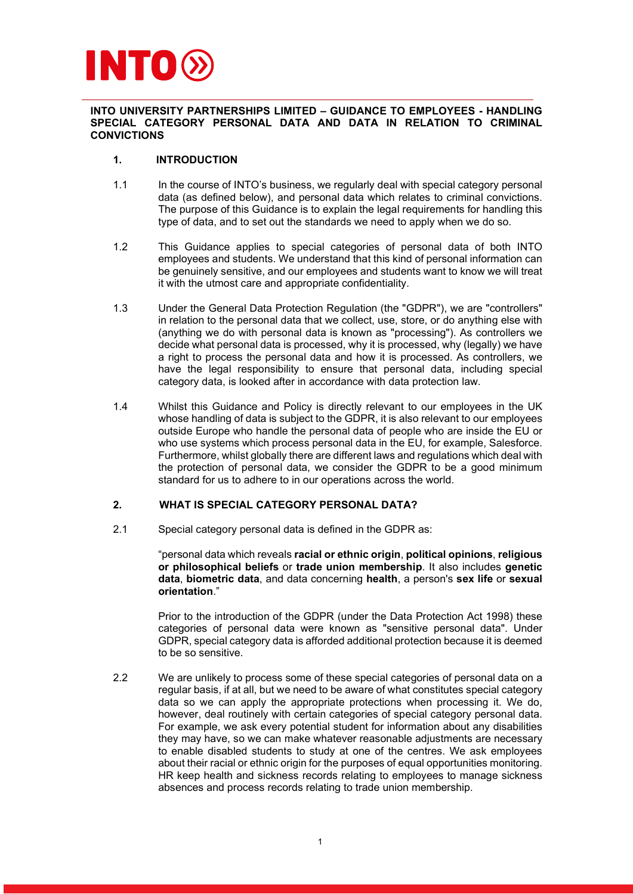# INTO

INTO UNIVERSITY PARTNERSHIPS LIMITED – GUIDANCE TO EMPLOYEES - HANDLING SPECIAL CATEGORY PERSONAL DATA AND DATA IN RELATION TO CRIMINAL **CONVICTIONS** 

# 1. INTRODUCTION

- 1.1 In the course of INTO's business, we regularly deal with special category personal data (as defined below), and personal data which relates to criminal convictions. The purpose of this Guidance is to explain the legal requirements for handling this type of data, and to set out the standards we need to apply when we do so.
- 1.2 This Guidance applies to special categories of personal data of both INTO employees and students. We understand that this kind of personal information can be genuinely sensitive, and our employees and students want to know we will treat it with the utmost care and appropriate confidentiality.
- 1.3 Under the General Data Protection Regulation (the "GDPR"), we are "controllers" in relation to the personal data that we collect, use, store, or do anything else with (anything we do with personal data is known as "processing"). As controllers we decide what personal data is processed, why it is processed, why (legally) we have a right to process the personal data and how it is processed. As controllers, we have the legal responsibility to ensure that personal data, including special category data, is looked after in accordance with data protection law.
- 1.4 Whilst this Guidance and Policy is directly relevant to our employees in the UK whose handling of data is subject to the GDPR, it is also relevant to our employees outside Europe who handle the personal data of people who are inside the EU or who use systems which process personal data in the EU, for example, Salesforce. Furthermore, whilst globally there are different laws and regulations which deal with the protection of personal data, we consider the GDPR to be a good minimum standard for us to adhere to in our operations across the world.

## 2. WHAT IS SPECIAL CATEGORY PERSONAL DATA?

2.1 Special category personal data is defined in the GDPR as:

"personal data which reveals racial or ethnic origin, political opinions, religious or philosophical beliefs or trade union membership. It also includes genetic data, biometric data, and data concerning health, a person's sex life or sexual orientation."

Prior to the introduction of the GDPR (under the Data Protection Act 1998) these categories of personal data were known as "sensitive personal data". Under GDPR, special category data is afforded additional protection because it is deemed to be so sensitive.

2.2 We are unlikely to process some of these special categories of personal data on a regular basis, if at all, but we need to be aware of what constitutes special category data so we can apply the appropriate protections when processing it. We do, however, deal routinely with certain categories of special category personal data. For example, we ask every potential student for information about any disabilities they may have, so we can make whatever reasonable adjustments are necessary to enable disabled students to study at one of the centres. We ask employees about their racial or ethnic origin for the purposes of equal opportunities monitoring. HR keep health and sickness records relating to employees to manage sickness absences and process records relating to trade union membership.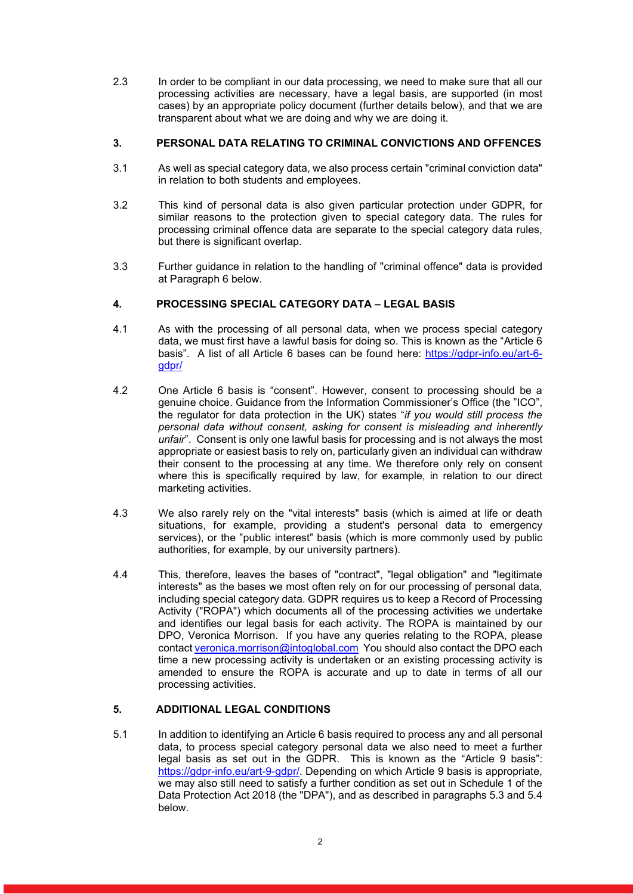2.3 In order to be compliant in our data processing, we need to make sure that all our processing activities are necessary, have a legal basis, are supported (in most cases) by an appropriate policy document (further details below), and that we are transparent about what we are doing and why we are doing it.

# 3. PERSONAL DATA RELATING TO CRIMINAL CONVICTIONS AND OFFENCES

- 3.1 As well as special category data, we also process certain "criminal conviction data" in relation to both students and employees.
- 3.2 This kind of personal data is also given particular protection under GDPR, for similar reasons to the protection given to special category data. The rules for processing criminal offence data are separate to the special category data rules, but there is significant overlap.
- 3.3 Further guidance in relation to the handling of "criminal offence" data is provided at Paragraph 6 below.

## 4. PROCESSING SPECIAL CATEGORY DATA – LEGAL BASIS

- 4.1 As with the processing of all personal data, when we process special category data, we must first have a lawful basis for doing so. This is known as the "Article 6 basis". A list of all Article 6 bases can be found here: https://gdpr-info.eu/art-6 gdpr/
- 4.2 One Article 6 basis is "consent". However, consent to processing should be a genuine choice. Guidance from the Information Commissioner's Office (the "ICO", the regulator for data protection in the UK) states "if you would still process the personal data without consent, asking for consent is misleading and inherently unfair". Consent is only one lawful basis for processing and is not always the most appropriate or easiest basis to rely on, particularly given an individual can withdraw their consent to the processing at any time. We therefore only rely on consent where this is specifically required by law, for example, in relation to our direct marketing activities.
- 4.3 We also rarely rely on the "vital interests" basis (which is aimed at life or death situations, for example, providing a student's personal data to emergency services), or the "public interest" basis (which is more commonly used by public authorities, for example, by our university partners).
- 4.4 This, therefore, leaves the bases of "contract", "legal obligation" and "legitimate interests" as the bases we most often rely on for our processing of personal data, including special category data. GDPR requires us to keep a Record of Processing Activity ("ROPA") which documents all of the processing activities we undertake and identifies our legal basis for each activity. The ROPA is maintained by our DPO, Veronica Morrison. If you have any queries relating to the ROPA, please contact veronica.morrison@intoglobal.com You should also contact the DPO each time a new processing activity is undertaken or an existing processing activity is amended to ensure the ROPA is accurate and up to date in terms of all our processing activities.

## 5. ADDITIONAL LEGAL CONDITIONS

5.1 In addition to identifying an Article 6 basis required to process any and all personal data, to process special category personal data we also need to meet a further legal basis as set out in the GDPR. This is known as the "Article 9 basis": https://gdpr-info.eu/art-9-gdpr/. Depending on which Article 9 basis is appropriate, we may also still need to satisfy a further condition as set out in Schedule 1 of the Data Protection Act 2018 (the "DPA"), and as described in paragraphs 5.3 and 5.4 below.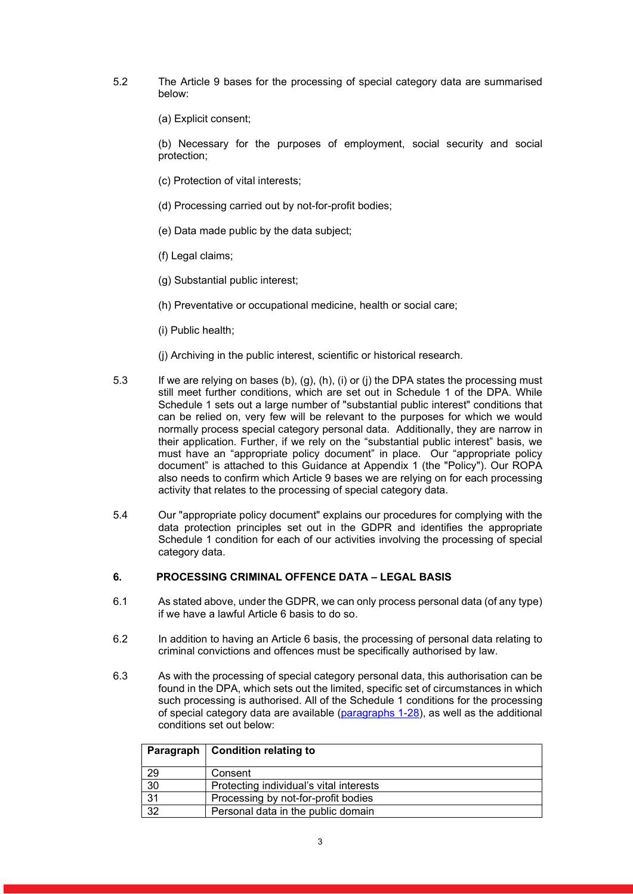- 5.2 The Article 9 bases for the processing of special category data are summarised below:
	- (a) Explicit consent;

(b) Necessary for the purposes of employment, social security and social protection;

- (c) Protection of vital interests;
- (d) Processing carried out by not-for-profit bodies;
- (e) Data made public by the data subject;
- (f) Legal claims;
- (g) Substantial public interest;
- (h) Preventative or occupational medicine, health or social care;
- (i) Public health;
- (j) Archiving in the public interest, scientific or historical research.
- 5.3 If we are relying on bases (b), (g), (h), (i) or (j) the DPA states the processing must still meet further conditions, which are set out in Schedule 1 of the DPA. While Schedule 1 sets out a large number of "substantial public interest" conditions that can be relied on, very few will be relevant to the purposes for which we would normally process special category personal data. Additionally, they are narrow in their application. Further, if we rely on the "substantial public interest" basis, we must have an "appropriate policy document" in place. Our "appropriate policy document" is attached to this Guidance at Appendix 1 (the "Policy"). Our ROPA also needs to confirm which Article 9 bases we are relying on for each processing activity that relates to the processing of special category data.
- 5.4 Our "appropriate policy document" explains our procedures for complying with the data protection principles set out in the GDPR and identifies the appropriate Schedule 1 condition for each of our activities involving the processing of special category data.

## 6. PROCESSING CRIMINAL OFFENCE DATA – LEGAL BASIS

- 6.1 As stated above, under the GDPR, we can only process personal data (of any type) if we have a lawful Article 6 basis to do so.
- 6.2 In addition to having an Article 6 basis, the processing of personal data relating to criminal convictions and offences must be specifically authorised by law.
- 6.3 As with the processing of special category personal data, this authorisation can be found in the DPA, which sets out the limited, specific set of circumstances in which such processing is authorised. All of the Schedule 1 conditions for the processing of special category data are available (paragraphs 1-28), as well as the additional conditions set out below:

|    | Paragraph   Condition relating to       |
|----|-----------------------------------------|
| 29 | Consent                                 |
| 30 | Protecting individual's vital interests |
| 31 | Processing by not-for-profit bodies     |
| 32 | Personal data in the public domain      |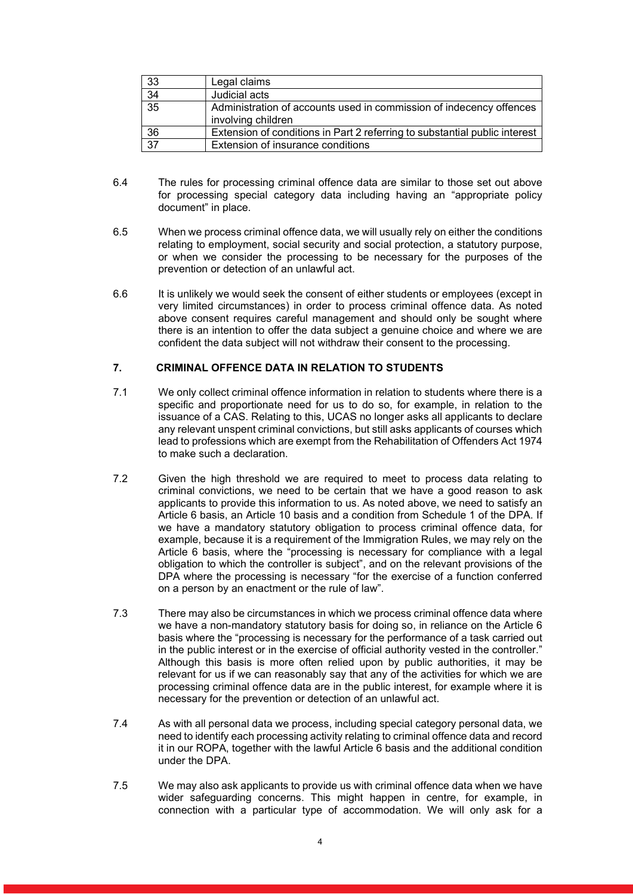| 33              | Legal claims                                                                              |
|-----------------|-------------------------------------------------------------------------------------------|
| $\overline{34}$ | Judicial acts                                                                             |
| $\overline{35}$ | Administration of accounts used in commission of indecency offences<br>involving children |
| 36              | Extension of conditions in Part 2 referring to substantial public interest                |
| $\overline{37}$ | Extension of insurance conditions                                                         |

- 6.4 The rules for processing criminal offence data are similar to those set out above for processing special category data including having an "appropriate policy document" in place.
- 6.5 When we process criminal offence data, we will usually rely on either the conditions relating to employment, social security and social protection, a statutory purpose, or when we consider the processing to be necessary for the purposes of the prevention or detection of an unlawful act.
- 6.6 It is unlikely we would seek the consent of either students or employees (except in very limited circumstances) in order to process criminal offence data. As noted above consent requires careful management and should only be sought where there is an intention to offer the data subject a genuine choice and where we are confident the data subject will not withdraw their consent to the processing.

## 7. CRIMINAL OFFENCE DATA IN RELATION TO STUDENTS

- 7.1 We only collect criminal offence information in relation to students where there is a specific and proportionate need for us to do so, for example, in relation to the issuance of a CAS. Relating to this, UCAS no longer asks all applicants to declare any relevant unspent criminal convictions, but still asks applicants of courses which lead to professions which are exempt from the Rehabilitation of Offenders Act 1974 to make such a declaration.
- 7.2 Given the high threshold we are required to meet to process data relating to criminal convictions, we need to be certain that we have a good reason to ask applicants to provide this information to us. As noted above, we need to satisfy an Article 6 basis, an Article 10 basis and a condition from Schedule 1 of the DPA. If we have a mandatory statutory obligation to process criminal offence data, for example, because it is a requirement of the Immigration Rules, we may rely on the Article 6 basis, where the "processing is necessary for compliance with a legal obligation to which the controller is subject", and on the relevant provisions of the DPA where the processing is necessary "for the exercise of a function conferred on a person by an enactment or the rule of law".
- 7.3 There may also be circumstances in which we process criminal offence data where we have a non-mandatory statutory basis for doing so, in reliance on the Article 6 basis where the "processing is necessary for the performance of a task carried out in the public interest or in the exercise of official authority vested in the controller." Although this basis is more often relied upon by public authorities, it may be relevant for us if we can reasonably say that any of the activities for which we are processing criminal offence data are in the public interest, for example where it is necessary for the prevention or detection of an unlawful act.
- 7.4 As with all personal data we process, including special category personal data, we need to identify each processing activity relating to criminal offence data and record it in our ROPA, together with the lawful Article 6 basis and the additional condition under the DPA.
- 7.5 We may also ask applicants to provide us with criminal offence data when we have wider safeguarding concerns. This might happen in centre, for example, in connection with a particular type of accommodation. We will only ask for a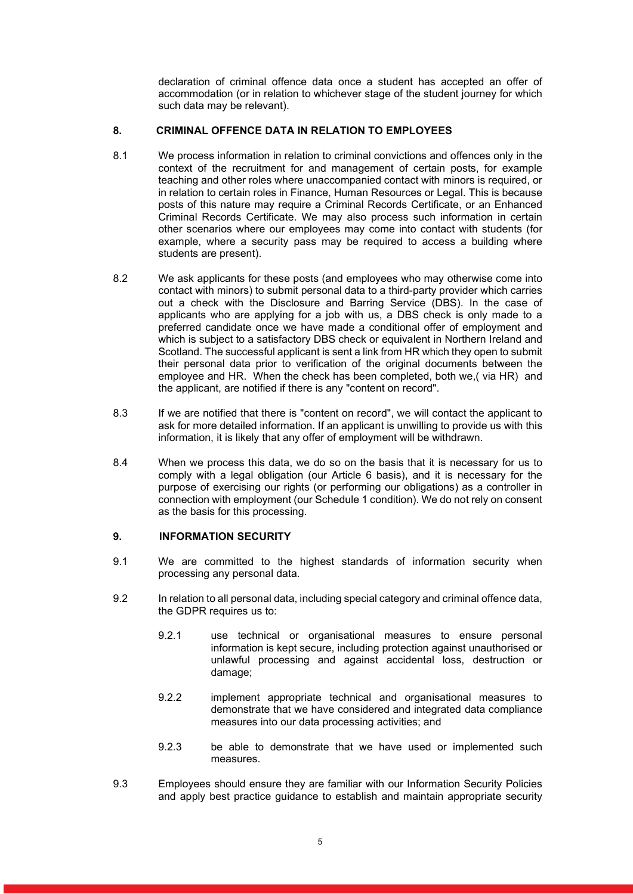declaration of criminal offence data once a student has accepted an offer of accommodation (or in relation to whichever stage of the student journey for which such data may be relevant).

## 8. CRIMINAL OFFENCE DATA IN RELATION TO EMPLOYEES

- 8.1 We process information in relation to criminal convictions and offences only in the context of the recruitment for and management of certain posts, for example teaching and other roles where unaccompanied contact with minors is required, or in relation to certain roles in Finance, Human Resources or Legal. This is because posts of this nature may require a Criminal Records Certificate, or an Enhanced Criminal Records Certificate. We may also process such information in certain other scenarios where our employees may come into contact with students (for example, where a security pass may be required to access a building where students are present).
- 8.2 We ask applicants for these posts (and employees who may otherwise come into contact with minors) to submit personal data to a third-party provider which carries out a check with the Disclosure and Barring Service (DBS). In the case of applicants who are applying for a job with us, a DBS check is only made to a preferred candidate once we have made a conditional offer of employment and which is subject to a satisfactory DBS check or equivalent in Northern Ireland and Scotland. The successful applicant is sent a link from HR which they open to submit their personal data prior to verification of the original documents between the employee and HR. When the check has been completed, both we,( via HR) and the applicant, are notified if there is any "content on record".
- 8.3 If we are notified that there is "content on record", we will contact the applicant to ask for more detailed information. If an applicant is unwilling to provide us with this information, it is likely that any offer of employment will be withdrawn.
- 8.4 When we process this data, we do so on the basis that it is necessary for us to comply with a legal obligation (our Article 6 basis), and it is necessary for the purpose of exercising our rights (or performing our obligations) as a controller in connection with employment (our Schedule 1 condition). We do not rely on consent as the basis for this processing.

## 9. INFORMATION SECURITY

- 9.1 We are committed to the highest standards of information security when processing any personal data.
- 9.2 In relation to all personal data, including special category and criminal offence data, the GDPR requires us to:
	- 9.2.1 use technical or organisational measures to ensure personal information is kept secure, including protection against unauthorised or unlawful processing and against accidental loss, destruction or damage;
	- 9.2.2 implement appropriate technical and organisational measures to demonstrate that we have considered and integrated data compliance measures into our data processing activities; and
	- 9.2.3 be able to demonstrate that we have used or implemented such measures.
- 9.3 Employees should ensure they are familiar with our Information Security Policies and apply best practice guidance to establish and maintain appropriate security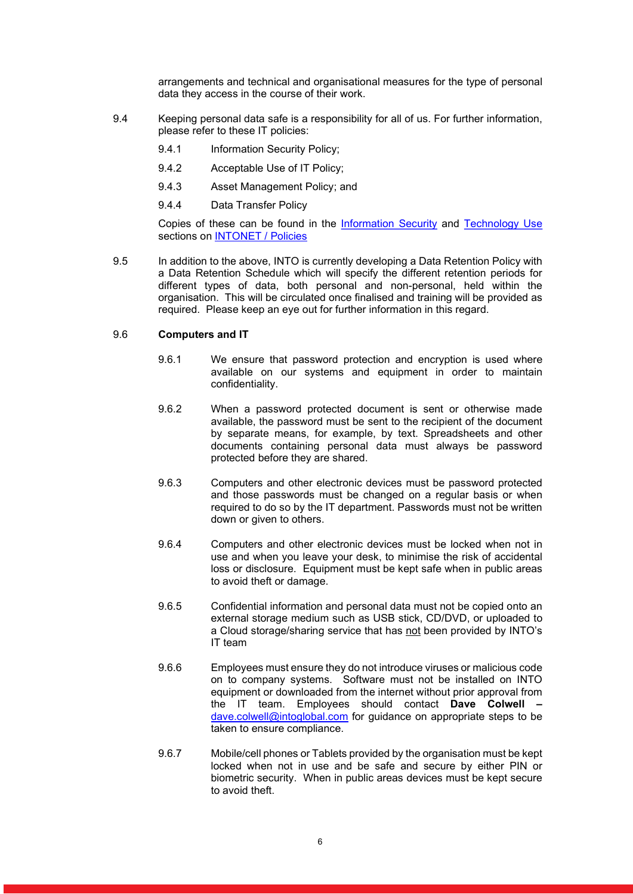arrangements and technical and organisational measures for the type of personal data they access in the course of their work.

- 9.4 Keeping personal data safe is a responsibility for all of us. For further information, please refer to these IT policies:
	- 9.4.1 Information Security Policy;
	- 9.4.2 Acceptable Use of IT Policy;
	- 9.4.3 Asset Management Policy; and
	- 9.4.4 Data Transfer Policy

Copies of these can be found in the Information Security and Technology Use sections on **INTONET** / Policies

9.5 In addition to the above, INTO is currently developing a Data Retention Policy with a Data Retention Schedule which will specify the different retention periods for different types of data, both personal and non-personal, held within the organisation. This will be circulated once finalised and training will be provided as required. Please keep an eye out for further information in this regard.

## 9.6 Computers and IT

- 9.6.1 We ensure that password protection and encryption is used where available on our systems and equipment in order to maintain confidentiality.
- 9.6.2 When a password protected document is sent or otherwise made available, the password must be sent to the recipient of the document by separate means, for example, by text. Spreadsheets and other documents containing personal data must always be password protected before they are shared.
- 9.6.3 Computers and other electronic devices must be password protected and those passwords must be changed on a regular basis or when required to do so by the IT department. Passwords must not be written down or given to others.
- 9.6.4 Computers and other electronic devices must be locked when not in use and when you leave your desk, to minimise the risk of accidental loss or disclosure. Equipment must be kept safe when in public areas to avoid theft or damage.
- 9.6.5 Confidential information and personal data must not be copied onto an external storage medium such as USB stick, CD/DVD, or uploaded to a Cloud storage/sharing service that has not been provided by INTO's IT team
- 9.6.6 Employees must ensure they do not introduce viruses or malicious code on to company systems. Software must not be installed on INTO equipment or downloaded from the internet without prior approval from the IT team. Employees should contact Dave Colwell dave.colwell@intoglobal.com for guidance on appropriate steps to be taken to ensure compliance.
- 9.6.7 Mobile/cell phones or Tablets provided by the organisation must be kept locked when not in use and be safe and secure by either PIN or biometric security. When in public areas devices must be kept secure to avoid theft.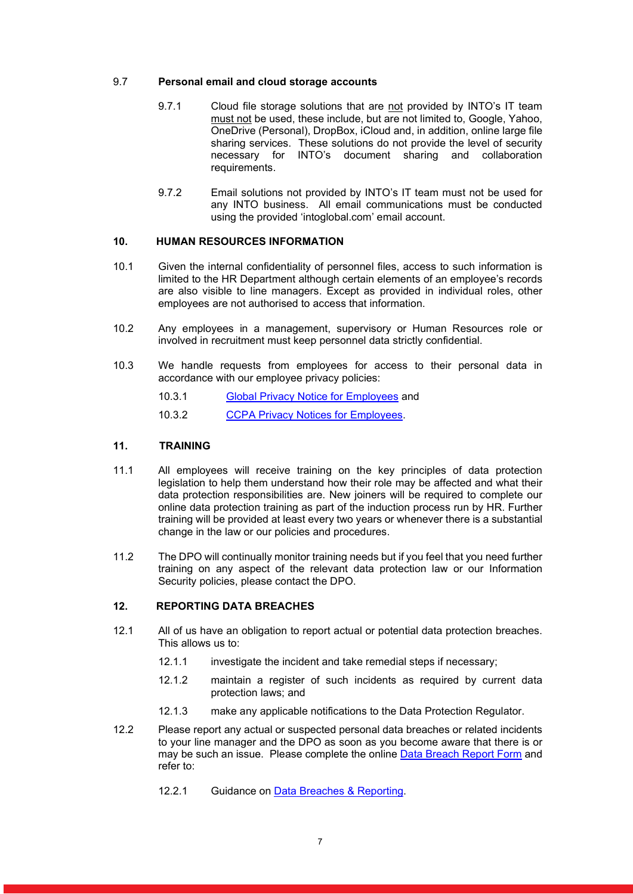## 9.7 Personal email and cloud storage accounts

- 9.7.1 Cloud file storage solutions that are not provided by INTO's IT team must not be used, these include, but are not limited to, Google, Yahoo, OneDrive (Personal), DropBox, iCloud and, in addition, online large file sharing services. These solutions do not provide the level of security necessary for INTO's document sharing and collaboration requirements.
- 9.7.2 Email solutions not provided by INTO's IT team must not be used for any INTO business. All email communications must be conducted using the provided 'intoglobal.com' email account.

## 10. HUMAN RESOURCES INFORMATION

- 10.1 Given the internal confidentiality of personnel files, access to such information is limited to the HR Department although certain elements of an employee's records are also visible to line managers. Except as provided in individual roles, other employees are not authorised to access that information.
- 10.2 Any employees in a management, supervisory or Human Resources role or involved in recruitment must keep personnel data strictly confidential.
- 10.3 We handle requests from employees for access to their personal data in accordance with our employee privacy policies:
	- 10.3.1 Global Privacy Notice for Employees and
	- 10.3.2 CCPA Privacy Notices for Employees.

#### 11. TRAINING

- 11.1 All employees will receive training on the key principles of data protection legislation to help them understand how their role may be affected and what their data protection responsibilities are. New joiners will be required to complete our online data protection training as part of the induction process run by HR. Further training will be provided at least every two years or whenever there is a substantial change in the law or our policies and procedures.
- 11.2 The DPO will continually monitor training needs but if you feel that you need further training on any aspect of the relevant data protection law or our Information Security policies, please contact the DPO.

#### 12. REPORTING DATA BREACHES

- 12.1 All of us have an obligation to report actual or potential data protection breaches. This allows us to:
	- 12.1.1 investigate the incident and take remedial steps if necessary;
	- 12.1.2 maintain a register of such incidents as required by current data protection laws; and
	- 12.1.3 make any applicable notifications to the Data Protection Regulator.
- 12.2 Please report any actual or suspected personal data breaches or related incidents to your line manager and the DPO as soon as you become aware that there is or may be such an issue. Please complete the online Data Breach Report Form and refer to:
	- 12.2.1 Guidance on Data Breaches & Reporting.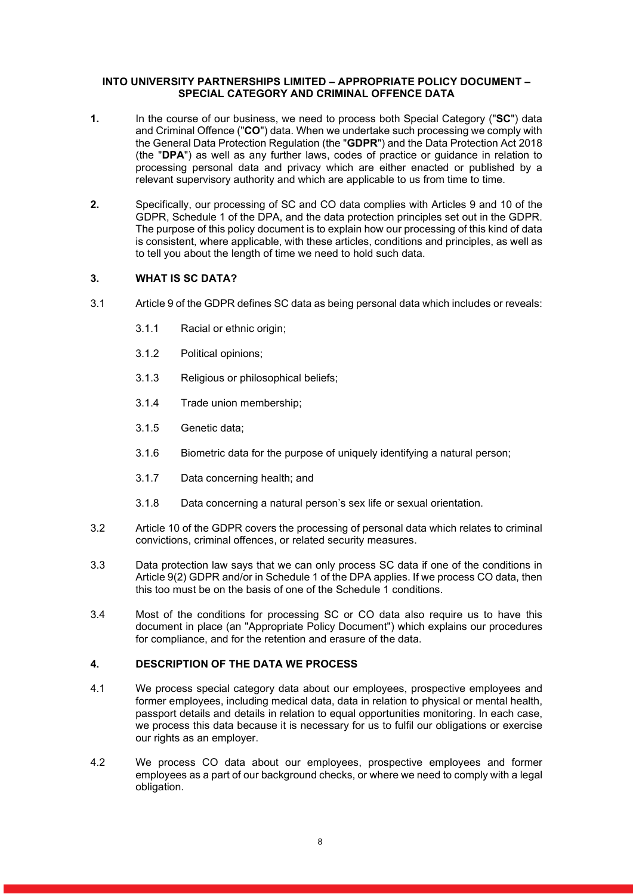#### INTO UNIVERSITY PARTNERSHIPS LIMITED – APPROPRIATE POLICY DOCUMENT – SPECIAL CATEGORY AND CRIMINAL OFFENCE DATA

- 1. In the course of our business, we need to process both Special Category ("SC") data and Criminal Offence ("CO") data. When we undertake such processing we comply with the General Data Protection Regulation (the "GDPR") and the Data Protection Act 2018 (the "DPA") as well as any further laws, codes of practice or guidance in relation to processing personal data and privacy which are either enacted or published by a relevant supervisory authority and which are applicable to us from time to time.
- 2. Specifically, our processing of SC and CO data complies with Articles 9 and 10 of the GDPR, Schedule 1 of the DPA, and the data protection principles set out in the GDPR. The purpose of this policy document is to explain how our processing of this kind of data is consistent, where applicable, with these articles, conditions and principles, as well as to tell you about the length of time we need to hold such data.

## 3. WHAT IS SC DATA?

- 3.1 Article 9 of the GDPR defines SC data as being personal data which includes or reveals:
	- 3.1.1 Racial or ethnic origin;
	- 3.1.2 Political opinions;
	- 3.1.3 Religious or philosophical beliefs;
	- 3.1.4 Trade union membership;
	- 3.1.5 Genetic data;
	- 3.1.6 Biometric data for the purpose of uniquely identifying a natural person;
	- 3.1.7 Data concerning health; and
	- 3.1.8 Data concerning a natural person's sex life or sexual orientation.
- 3.2 Article 10 of the GDPR covers the processing of personal data which relates to criminal convictions, criminal offences, or related security measures.
- 3.3 Data protection law says that we can only process SC data if one of the conditions in Article 9(2) GDPR and/or in Schedule 1 of the DPA applies. If we process CO data, then this too must be on the basis of one of the Schedule 1 conditions.
- 3.4 Most of the conditions for processing SC or CO data also require us to have this document in place (an "Appropriate Policy Document") which explains our procedures for compliance, and for the retention and erasure of the data.

## 4. DESCRIPTION OF THE DATA WE PROCESS

- 4.1 We process special category data about our employees, prospective employees and former employees, including medical data, data in relation to physical or mental health, passport details and details in relation to equal opportunities monitoring. In each case, we process this data because it is necessary for us to fulfil our obligations or exercise our rights as an employer.
- 4.2 We process CO data about our employees, prospective employees and former employees as a part of our background checks, or where we need to comply with a legal obligation.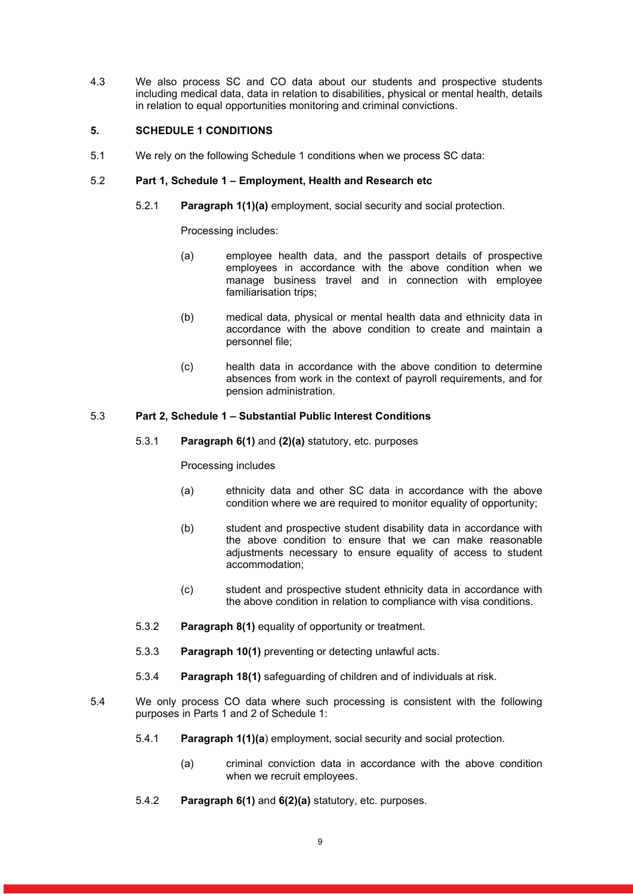4.3 We also process SC and CO data about our students and prospective students including medical data, data in relation to disabilities, physical or mental health, details in relation to equal opportunities monitoring and criminal convictions.

## 5. SCHEDULE 1 CONDITIONS

5.1 We rely on the following Schedule 1 conditions when we process SC data:

## 5.2 Part 1, Schedule 1 – Employment, Health and Research etc

5.2.1 Paragraph 1(1)(a) employment, social security and social protection.

Processing includes:

- (a) employee health data, and the passport details of prospective employees in accordance with the above condition when we manage business travel and in connection with employee familiarisation trips;
- (b) medical data, physical or mental health data and ethnicity data in accordance with the above condition to create and maintain a personnel file;
- (c) health data in accordance with the above condition to determine absences from work in the context of payroll requirements, and for pension administration.

## 5.3 Part 2, Schedule 1 – Substantial Public Interest Conditions

5.3.1 Paragraph 6(1) and (2)(a) statutory, etc. purposes

Processing includes

- (a) ethnicity data and other SC data in accordance with the above condition where we are required to monitor equality of opportunity;
- (b) student and prospective student disability data in accordance with the above condition to ensure that we can make reasonable adjustments necessary to ensure equality of access to student accommodation;
- (c) student and prospective student ethnicity data in accordance with the above condition in relation to compliance with visa conditions.
- 5.3.2 Paragraph 8(1) equality of opportunity or treatment.
- 5.3.3 Paragraph 10(1) preventing or detecting unlawful acts.
- 5.3.4 Paragraph 18(1) safeguarding of children and of individuals at risk.
- 5.4 We only process CO data where such processing is consistent with the following purposes in Parts 1 and 2 of Schedule 1:
	- 5.4.1 Paragraph 1(1)(a) employment, social security and social protection.
		- (a) criminal conviction data in accordance with the above condition when we recruit employees.
	- 5.4.2 Paragraph 6(1) and 6(2)(a) statutory, etc. purposes.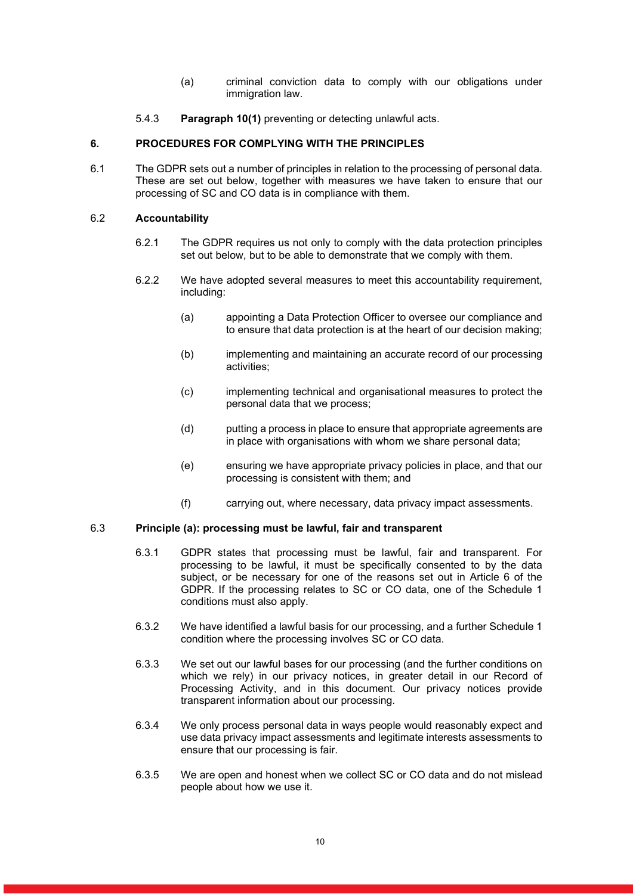- (a) criminal conviction data to comply with our obligations under immigration law.
- 5.4.3 Paragraph 10(1) preventing or detecting unlawful acts.

## 6. PROCEDURES FOR COMPLYING WITH THE PRINCIPLES

6.1 The GDPR sets out a number of principles in relation to the processing of personal data. These are set out below, together with measures we have taken to ensure that our processing of SC and CO data is in compliance with them.

## 6.2 Accountability

- 6.2.1 The GDPR requires us not only to comply with the data protection principles set out below, but to be able to demonstrate that we comply with them.
- 6.2.2 We have adopted several measures to meet this accountability requirement, including:
	- (a) appointing a Data Protection Officer to oversee our compliance and to ensure that data protection is at the heart of our decision making;
	- (b) implementing and maintaining an accurate record of our processing activities;
	- (c) implementing technical and organisational measures to protect the personal data that we process;
	- (d) putting a process in place to ensure that appropriate agreements are in place with organisations with whom we share personal data;
	- (e) ensuring we have appropriate privacy policies in place, and that our processing is consistent with them; and
	- (f) carrying out, where necessary, data privacy impact assessments.

## 6.3 Principle (a): processing must be lawful, fair and transparent

- 6.3.1 GDPR states that processing must be lawful, fair and transparent. For processing to be lawful, it must be specifically consented to by the data subject, or be necessary for one of the reasons set out in Article 6 of the GDPR. If the processing relates to SC or CO data, one of the Schedule 1 conditions must also apply.
- 6.3.2 We have identified a lawful basis for our processing, and a further Schedule 1 condition where the processing involves SC or CO data.
- 6.3.3 We set out our lawful bases for our processing (and the further conditions on which we rely) in our privacy notices, in greater detail in our Record of Processing Activity, and in this document. Our privacy notices provide transparent information about our processing.
- 6.3.4 We only process personal data in ways people would reasonably expect and use data privacy impact assessments and legitimate interests assessments to ensure that our processing is fair.
- 6.3.5 We are open and honest when we collect SC or CO data and do not mislead people about how we use it.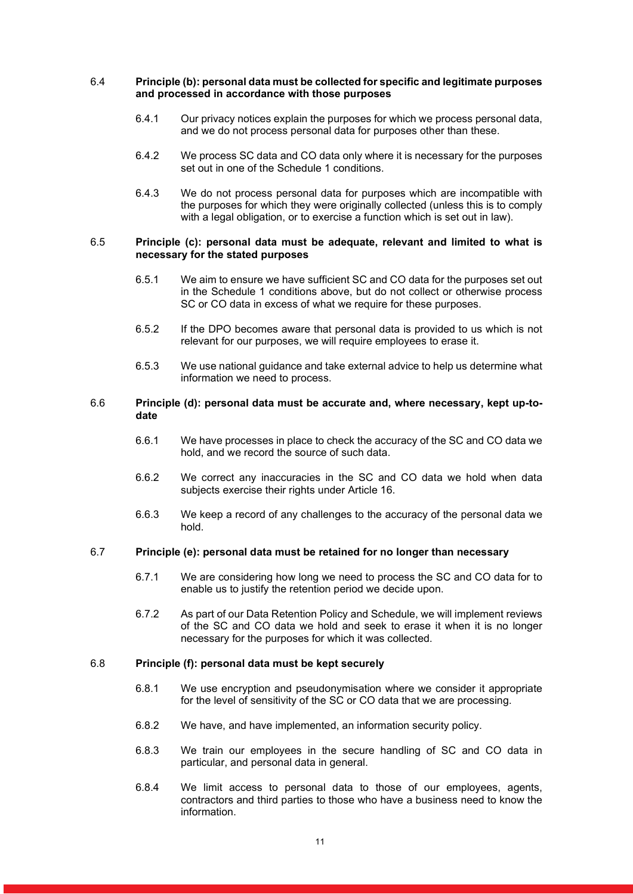#### 6.4 Principle (b): personal data must be collected for specific and legitimate purposes and processed in accordance with those purposes

- 6.4.1 Our privacy notices explain the purposes for which we process personal data, and we do not process personal data for purposes other than these.
- 6.4.2 We process SC data and CO data only where it is necessary for the purposes set out in one of the Schedule 1 conditions.
- 6.4.3 We do not process personal data for purposes which are incompatible with the purposes for which they were originally collected (unless this is to comply with a legal obligation, or to exercise a function which is set out in law).

#### 6.5 Principle (c): personal data must be adequate, relevant and limited to what is necessary for the stated purposes

- 6.5.1 We aim to ensure we have sufficient SC and CO data for the purposes set out in the Schedule 1 conditions above, but do not collect or otherwise process SC or CO data in excess of what we require for these purposes.
- 6.5.2 If the DPO becomes aware that personal data is provided to us which is not relevant for our purposes, we will require employees to erase it.
- 6.5.3 We use national guidance and take external advice to help us determine what information we need to process.

#### 6.6 Principle (d): personal data must be accurate and, where necessary, kept up-todate

- 6.6.1 We have processes in place to check the accuracy of the SC and CO data we hold, and we record the source of such data.
- 6.6.2 We correct any inaccuracies in the SC and CO data we hold when data subjects exercise their rights under Article 16.
- 6.6.3 We keep a record of any challenges to the accuracy of the personal data we hold.

#### 6.7 Principle (e): personal data must be retained for no longer than necessary

- 6.7.1 We are considering how long we need to process the SC and CO data for to enable us to justify the retention period we decide upon.
- 6.7.2 As part of our Data Retention Policy and Schedule, we will implement reviews of the SC and CO data we hold and seek to erase it when it is no longer necessary for the purposes for which it was collected.

## 6.8 Principle (f): personal data must be kept securely

- 6.8.1 We use encryption and pseudonymisation where we consider it appropriate for the level of sensitivity of the SC or CO data that we are processing.
- 6.8.2 We have, and have implemented, an information security policy.
- 6.8.3 We train our employees in the secure handling of SC and CO data in particular, and personal data in general.
- 6.8.4 We limit access to personal data to those of our employees, agents, contractors and third parties to those who have a business need to know the information.